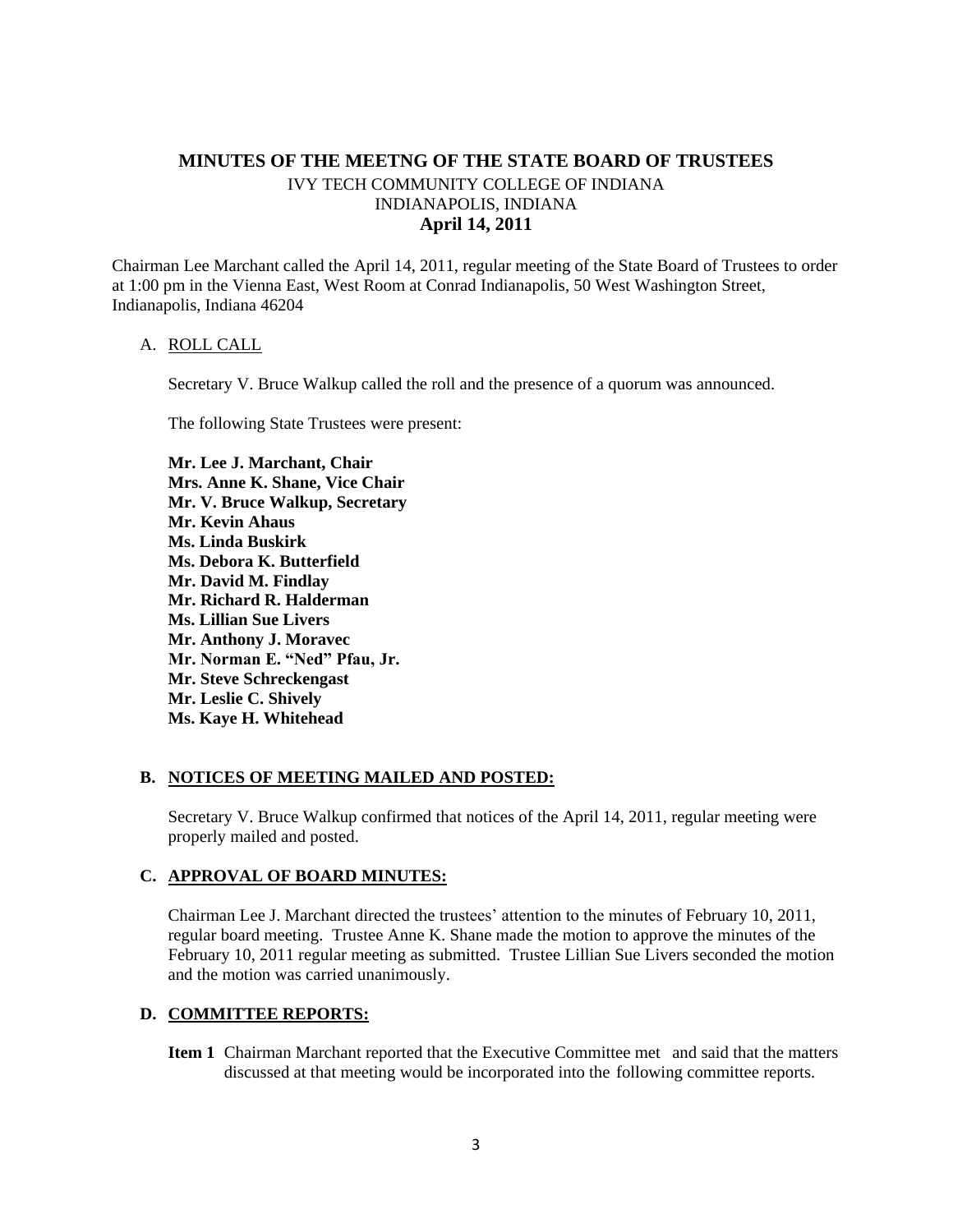# **MINUTES OF THE MEETNG OF THE STATE BOARD OF TRUSTEES** IVY TECH COMMUNITY COLLEGE OF INDIANA INDIANAPOLIS, INDIANA **April 14, 2011**

Chairman Lee Marchant called the April 14, 2011, regular meeting of the State Board of Trustees to order at 1:00 pm in the Vienna East, West Room at Conrad Indianapolis, 50 West Washington Street, Indianapolis, Indiana 46204

#### A. ROLL CALL

Secretary V. Bruce Walkup called the roll and the presence of a quorum was announced.

The following State Trustees were present:

**Mr. Lee J. Marchant, Chair Mrs. Anne K. Shane, Vice Chair Mr. V. Bruce Walkup, Secretary Mr. Kevin Ahaus Ms. Linda Buskirk Ms. Debora K. Butterfield Mr. David M. Findlay Mr. Richard R. Halderman Ms. Lillian Sue Livers Mr. Anthony J. Moravec Mr. Norman E. "Ned" Pfau, Jr. Mr. Steve Schreckengast Mr. Leslie C. Shively Ms. Kaye H. Whitehead**

#### **B. NOTICES OF MEETING MAILED AND POSTED:**

Secretary V. Bruce Walkup confirmed that notices of the April 14, 2011, regular meeting were properly mailed and posted.

#### **C. APPROVAL OF BOARD MINUTES:**

Chairman Lee J. Marchant directed the trustees' attention to the minutes of February 10, 2011, regular board meeting. Trustee Anne K. Shane made the motion to approve the minutes of the February 10, 2011 regular meeting as submitted. Trustee Lillian Sue Livers seconded the motion and the motion was carried unanimously.

#### **D. COMMITTEE REPORTS:**

**Item 1** Chairman Marchant reported that the Executive Committee met and said that the matters discussed at that meeting would be incorporated into the following committee reports.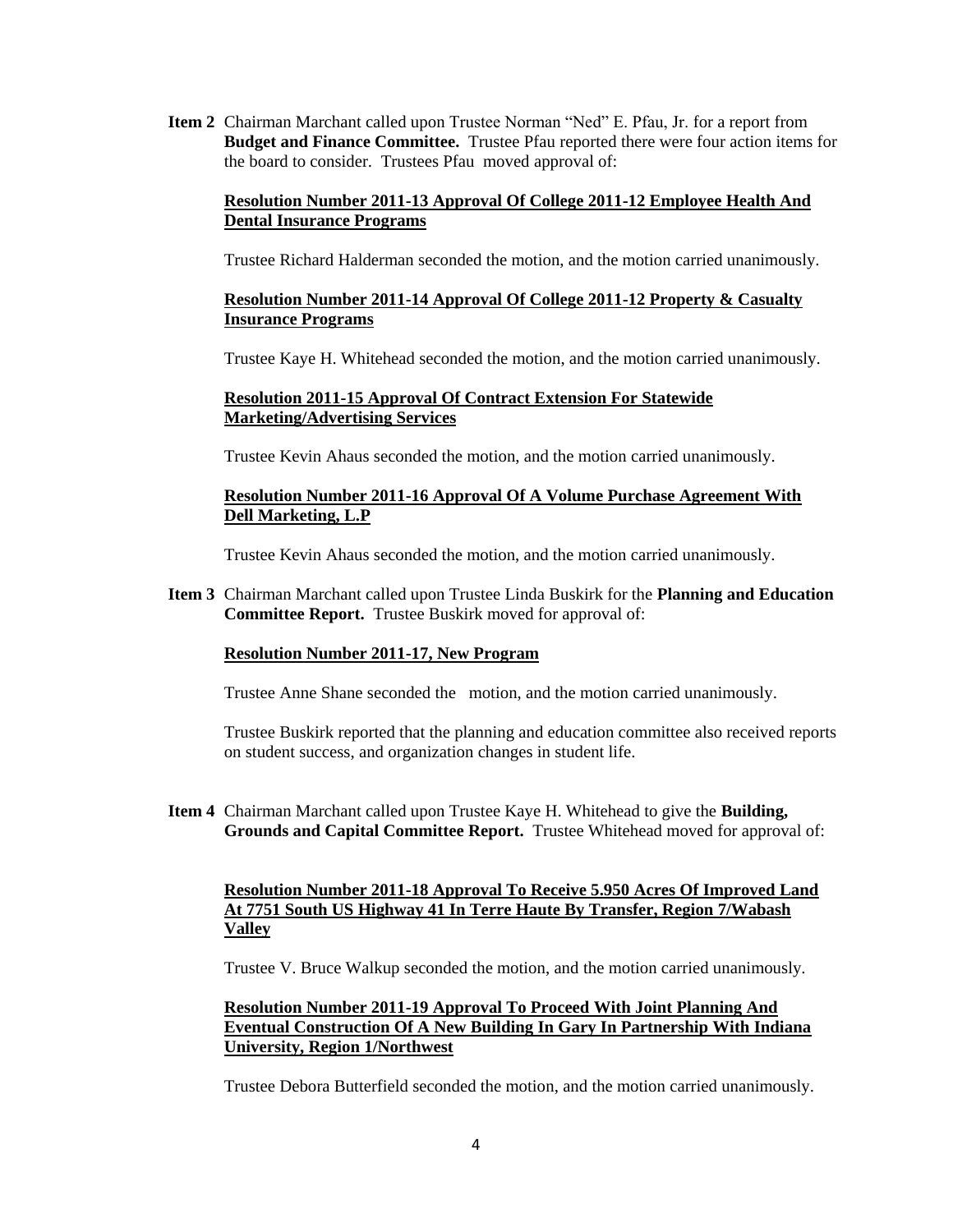**Item 2** Chairman Marchant called upon Trustee Norman "Ned" E. Pfau, Jr. for a report from **Budget and Finance Committee.** Trustee Pfau reported there were four action items for the board to consider. Trustees Pfau moved approval of:

# **Resolution Number 2011-13 Approval Of College 2011-12 Employee Health And Dental Insurance Programs**

Trustee Richard Halderman seconded the motion, and the motion carried unanimously.

# **Resolution Number 2011-14 Approval Of College 2011-12 Property & Casualty Insurance Programs**

Trustee Kaye H. Whitehead seconded the motion, and the motion carried unanimously.

### **Resolution 2011-15 Approval Of Contract Extension For Statewide Marketing/Advertising Services**

Trustee Kevin Ahaus seconded the motion, and the motion carried unanimously.

### **Resolution Number 2011-16 Approval Of A Volume Purchase Agreement With Dell Marketing, L.P**

Trustee Kevin Ahaus seconded the motion, and the motion carried unanimously.

**Item 3** Chairman Marchant called upon Trustee Linda Buskirk for the **Planning and Education Committee Report.** Trustee Buskirk moved for approval of:

### **Resolution Number 2011-17, New Program**

Trustee Anne Shane seconded the motion, and the motion carried unanimously.

Trustee Buskirk reported that the planning and education committee also received reports on student success, and organization changes in student life.

**Item 4** Chairman Marchant called upon Trustee Kaye H. Whitehead to give the **Building, Grounds and Capital Committee Report.** Trustee Whitehead moved for approval of:

### **Resolution Number 2011-18 Approval To Receive 5.950 Acres Of Improved Land At 7751 South US Highway 41 In Terre Haute By Transfer, Region 7/Wabash Valley**

Trustee V. Bruce Walkup seconded the motion, and the motion carried unanimously.

### **Resolution Number 2011-19 Approval To Proceed With Joint Planning And Eventual Construction Of A New Building In Gary In Partnership With Indiana University, Region 1/Northwest**

Trustee Debora Butterfield seconded the motion, and the motion carried unanimously.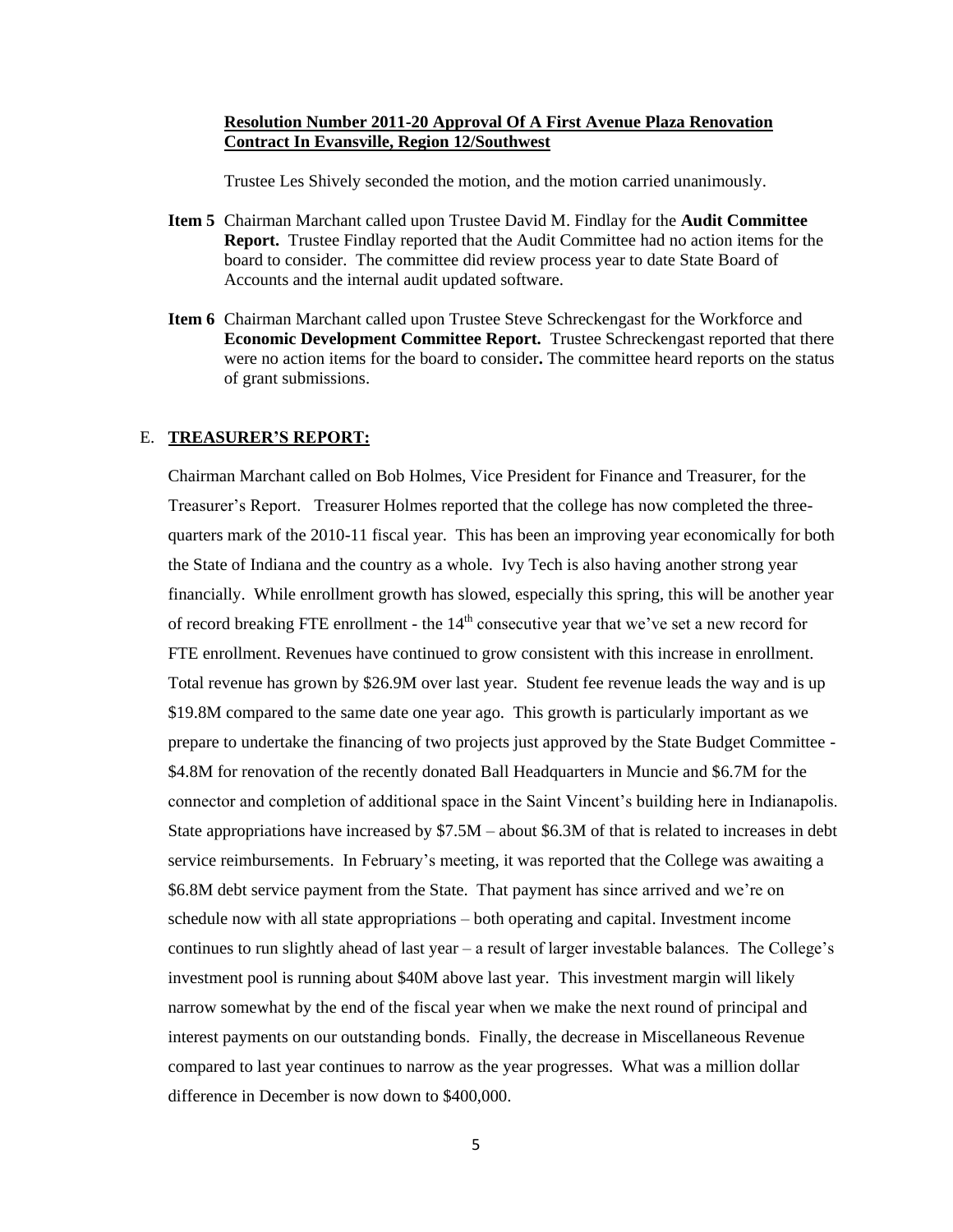#### **Resolution Number 2011-20 Approval Of A First Avenue Plaza Renovation Contract In Evansville, Region 12/Southwest**

Trustee Les Shively seconded the motion, and the motion carried unanimously.

- **Item 5** Chairman Marchant called upon Trustee David M. Findlay for the **Audit Committee Report.** Trustee Findlay reported that the Audit Committee had no action items for the board to consider. The committee did review process year to date State Board of Accounts and the internal audit updated software.
- **Item 6** Chairman Marchant called upon Trustee Steve Schreckengast for the Workforce and **Economic Development Committee Report.** Trustee Schreckengast reported that there were no action items for the board to consider**.** The committee heard reports on the status of grant submissions.

#### E. **TREASURER'S REPORT:**

Chairman Marchant called on Bob Holmes, Vice President for Finance and Treasurer, for the Treasurer's Report. Treasurer Holmes reported that the college has now completed the threequarters mark of the 2010-11 fiscal year. This has been an improving year economically for both the State of Indiana and the country as a whole. Ivy Tech is also having another strong year financially. While enrollment growth has slowed, especially this spring, this will be another year of record breaking FTE enrollment - the  $14<sup>th</sup>$  consecutive year that we've set a new record for FTE enrollment. Revenues have continued to grow consistent with this increase in enrollment. Total revenue has grown by \$26.9M over last year. Student fee revenue leads the way and is up \$19.8M compared to the same date one year ago. This growth is particularly important as we prepare to undertake the financing of two projects just approved by the State Budget Committee - \$4.8M for renovation of the recently donated Ball Headquarters in Muncie and \$6.7M for the connector and completion of additional space in the Saint Vincent's building here in Indianapolis. State appropriations have increased by \$7.5M – about \$6.3M of that is related to increases in debt service reimbursements. In February's meeting, it was reported that the College was awaiting a \$6.8M debt service payment from the State. That payment has since arrived and we're on schedule now with all state appropriations – both operating and capital. Investment income continues to run slightly ahead of last year – a result of larger investable balances. The College's investment pool is running about \$40M above last year. This investment margin will likely narrow somewhat by the end of the fiscal year when we make the next round of principal and interest payments on our outstanding bonds. Finally, the decrease in Miscellaneous Revenue compared to last year continues to narrow as the year progresses. What was a million dollar difference in December is now down to \$400,000.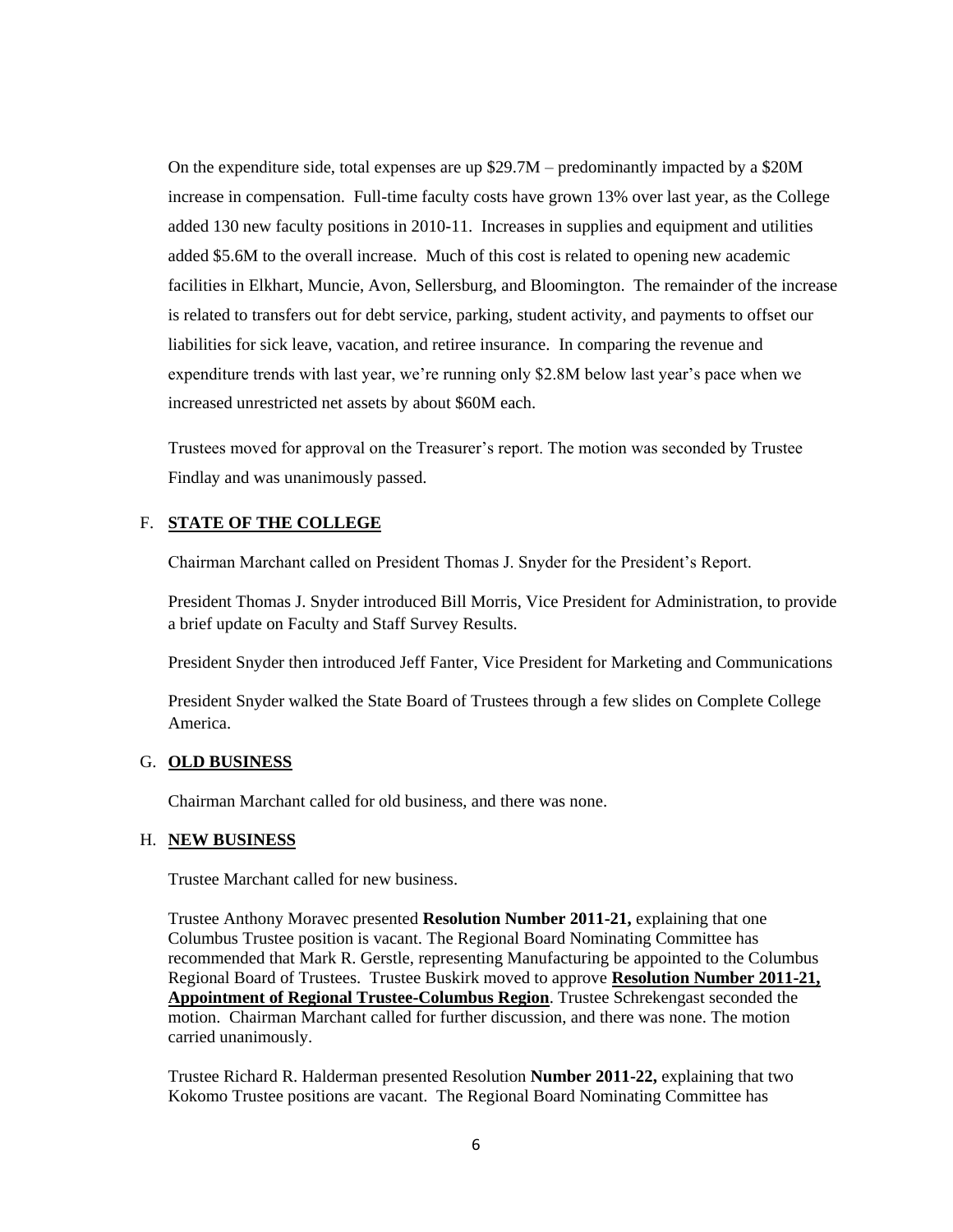On the expenditure side, total expenses are up \$29.7M – predominantly impacted by a \$20M increase in compensation. Full-time faculty costs have grown 13% over last year, as the College added 130 new faculty positions in 2010-11. Increases in supplies and equipment and utilities added \$5.6M to the overall increase. Much of this cost is related to opening new academic facilities in Elkhart, Muncie, Avon, Sellersburg, and Bloomington. The remainder of the increase is related to transfers out for debt service, parking, student activity, and payments to offset our liabilities for sick leave, vacation, and retiree insurance. In comparing the revenue and expenditure trends with last year, we're running only \$2.8M below last year's pace when we increased unrestricted net assets by about \$60M each.

Trustees moved for approval on the Treasurer's report. The motion was seconded by Trustee Findlay and was unanimously passed.

### F. **STATE OF THE COLLEGE**

Chairman Marchant called on President Thomas J. Snyder for the President's Report.

President Thomas J. Snyder introduced Bill Morris, Vice President for Administration, to provide a brief update on Faculty and Staff Survey Results.

President Snyder then introduced Jeff Fanter, Vice President for Marketing and Communications

President Snyder walked the State Board of Trustees through a few slides on Complete College America.

### G. **OLD BUSINESS**

Chairman Marchant called for old business, and there was none.

#### H. **NEW BUSINESS**

Trustee Marchant called for new business.

Trustee Anthony Moravec presented **Resolution Number 2011-21,** explaining that one Columbus Trustee position is vacant. The Regional Board Nominating Committee has recommended that Mark R. Gerstle, representing Manufacturing be appointed to the Columbus Regional Board of Trustees. Trustee Buskirk moved to approve **Resolution Number 2011-21, Appointment of Regional Trustee-Columbus Region**. Trustee Schrekengast seconded the motion. Chairman Marchant called for further discussion, and there was none. The motion carried unanimously.

Trustee Richard R. Halderman presented Resolution **Number 2011-22,** explaining that two Kokomo Trustee positions are vacant. The Regional Board Nominating Committee has